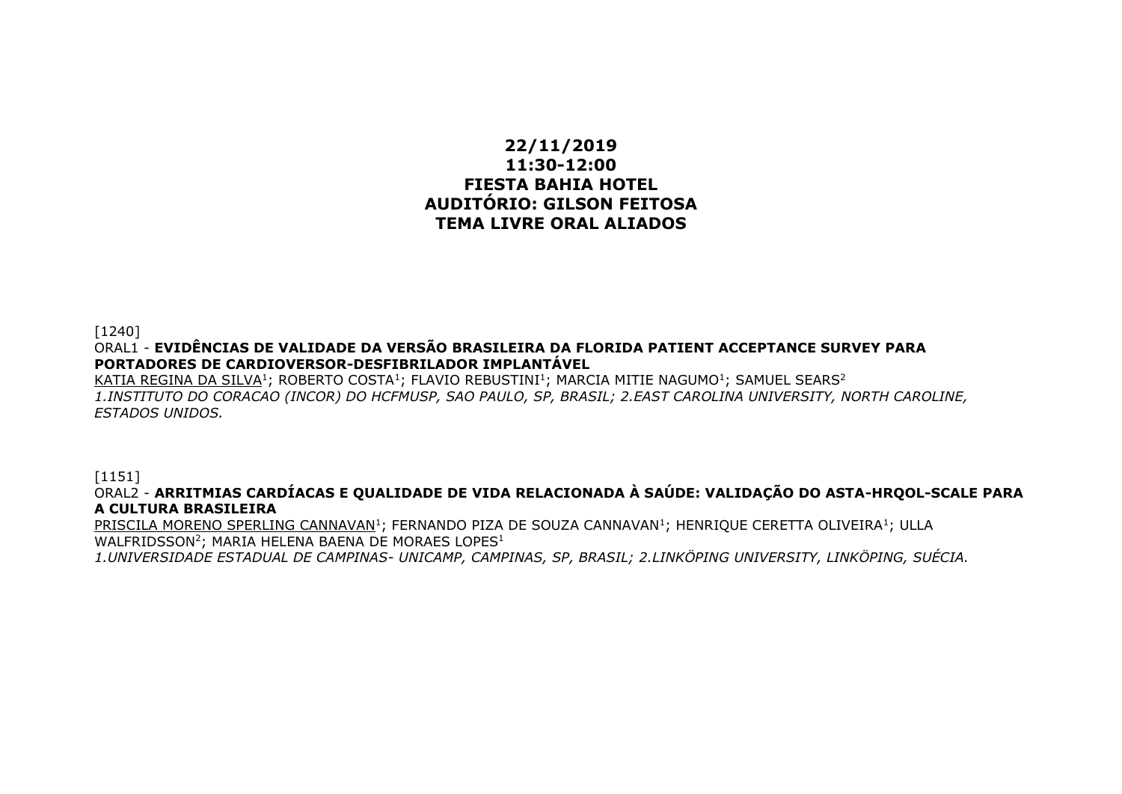## **22/11/2019 11:30-12:00 FIESTA BAHIA HOTEL AUDITÓRIO: GILSON FEITOSA TEMA LIVRE ORAL ALIADOS**

[1240] ORAL1 - **EVIDÊNCIAS DE VALIDADE DA VERSÃO BRASILEIRA DA FLORIDA PATIENT ACCEPTANCE SURVEY PARA PORTADORES DE CARDIOVERSOR-DESFIBRILADOR IMPLANTÁVEL**

 $\overline{\text{KATIA}}$  REGINA DA SILVA $^1$ ; ROBERTO COSTA $^1$ ; FLAVIO REBUSTINI $^1$ ; MARCIA MITIE NAGUMO $^1$ ; SAMUEL SEARS $^2$ *1.INSTITUTO DO CORACAO (INCOR) DO HCFMUSP, SAO PAULO, SP, BRASIL; 2.EAST CAROLINA UNIVERSITY, NORTH CAROLINE, ESTADOS UNIDOS.*

[1151]

ORAL2 - **ARRITMIAS CARDÍACAS E QUALIDADE DE VIDA RELACIONADA À SAÚDE: VALIDAÇÃO DO ASTA-HRQOL-SCALE PARA A CULTURA BRASILEIRA**

 ${\tt PRISCILA}$  MORENO SPERLING CANNAVAN $^1$ ; FERNANDO PIZA DE SOUZA CANNAVAN $^1$ ; HENRIQUE CERETTA OLIVEIRA $^1$ ; ULLA WALFRIDSSON<sup>2</sup>; MARIA HELENA BAENA DE MORAES LOPES<sup>1</sup>

*1.UNIVERSIDADE ESTADUAL DE CAMPINAS- UNICAMP, CAMPINAS, SP, BRASIL; 2.LINKÖPING UNIVERSITY, LINKÖPING, SUÉCIA.*